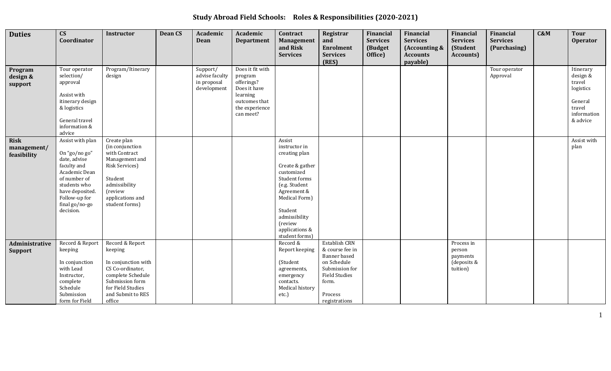**Study Abroad Field Schools: Roles & Responsibilities (2020-2021)**

|                                           | $\mathbf{C}\mathbf{S}$                                                                                                                                                               | <b>Instructor</b>                                                                                                                                                               | <b>Dean CS</b> | Academic                                                 | Academic                                                                                                              | Contract                                                                                                                                                                                                               | Registrar                                                                                                                                      | Financial                             | Financial                                                       | Financial                                                   | <b>Financial</b>                | C&M | <b>Tour</b>                                                                                  |
|-------------------------------------------|--------------------------------------------------------------------------------------------------------------------------------------------------------------------------------------|---------------------------------------------------------------------------------------------------------------------------------------------------------------------------------|----------------|----------------------------------------------------------|-----------------------------------------------------------------------------------------------------------------------|------------------------------------------------------------------------------------------------------------------------------------------------------------------------------------------------------------------------|------------------------------------------------------------------------------------------------------------------------------------------------|---------------------------------------|-----------------------------------------------------------------|-------------------------------------------------------------|---------------------------------|-----|----------------------------------------------------------------------------------------------|
| <b>Duties</b>                             | Coordinator                                                                                                                                                                          |                                                                                                                                                                                 |                | <b>Dean</b>                                              | <b>Department</b>                                                                                                     | Management<br>and Risk<br><b>Services</b>                                                                                                                                                                              | and<br>Enrolment<br><b>Services</b><br>(RES)                                                                                                   | <b>Services</b><br>(Budget<br>Office) | <b>Services</b><br>(Accounting &<br><b>Accounts</b><br>payable) | <b>Services</b><br>(Student<br><b>Accounts</b> )            | <b>Services</b><br>(Purchasing) |     | <b>Operator</b>                                                                              |
| Program<br>design &<br>support            | Tour operator<br>selection/<br>approval<br>Assist with<br>itinerary design<br>& logistics<br>General travel<br>information &<br>advice                                               | Program/Itinerary<br>design                                                                                                                                                     |                | Support/<br>advise faculty<br>in proposal<br>development | Does it fit with<br>program<br>offerings?<br>Does it have<br>learning<br>outcomes that<br>the experience<br>can meet? |                                                                                                                                                                                                                        |                                                                                                                                                |                                       |                                                                 |                                                             | Tour operator<br>Approval       |     | Itinerary<br>design &<br>travel<br>logistics<br>General<br>travel<br>information<br>& advice |
| <b>Risk</b><br>management/<br>feasibility | Assist with plan<br>On "go/no go"<br>date, advise<br>faculty and<br>Academic Dean<br>of number of<br>students who<br>have deposited.<br>Follow-up for<br>final go/no-go<br>decision. | Create plan<br>(in conjunction<br>with Contract<br>Management and<br><b>Risk Services)</b><br>Student<br>admissibility<br><i>(review)</i><br>applications and<br>student forms) |                |                                                          |                                                                                                                       | Assist<br>instructor in<br>creating plan<br>Create & gather<br>customized<br>Student forms<br>(e.g. Student<br>Agreement &<br>Medical Form)<br>Student<br>admissibility<br>(review<br>applications &<br>student forms) |                                                                                                                                                |                                       |                                                                 |                                                             |                                 |     | Assist with<br>plan                                                                          |
| Administrative<br><b>Support</b>          | Record & Report<br>keeping<br>In conjunction<br>with Lead<br>Instructor,<br>complete<br>Schedule<br>Submission<br>form for Field                                                     | Record & Report<br>keeping<br>In conjunction with<br>CS Co-ordinator,<br>complete Schedule<br>Submission form<br>for Field Studies<br>and Submit to RES<br>office               |                |                                                          |                                                                                                                       | Record &<br>Report keeping<br>(Student<br>agreements,<br>emergency<br>contacts.<br>Medical history<br>etc.)                                                                                                            | Establish CRN<br>& course fee in<br>Banner based<br>on Schedule<br>Submission for<br><b>Field Studies</b><br>form.<br>Process<br>registrations |                                       |                                                                 | Process in<br>person<br>payments<br>(deposits &<br>tuition) |                                 |     |                                                                                              |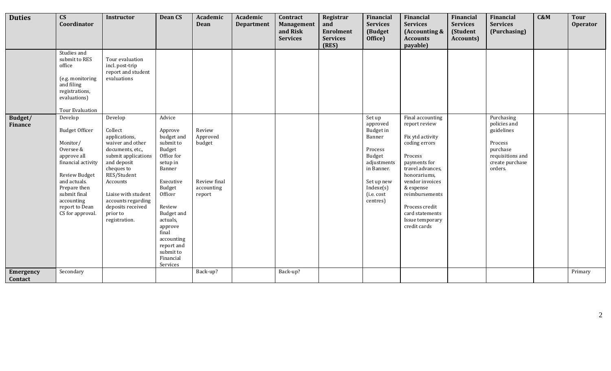| <b>Duties</b>             | $\mathbf{C}\mathbf{S}$<br>Coordinator                                                                                                                                                                                      | Instructor                                                                                                                                                                                                                                                | <b>Dean CS</b>                                                                                                                                                                                                                                                | Academic<br><b>Dean</b>                                              | Academic<br><b>Department</b> | Contract<br>Management      | Registrar<br>and                             | Financial<br><b>Services</b>                                                                                                                            | Financial<br><b>Services</b>                                                                                                                                                                                                                                    | Financial<br><b>Services</b>  | Financial<br><b>Services</b>                                                                                      | C&M | <b>Tour</b><br><b>Operator</b> |
|---------------------------|----------------------------------------------------------------------------------------------------------------------------------------------------------------------------------------------------------------------------|-----------------------------------------------------------------------------------------------------------------------------------------------------------------------------------------------------------------------------------------------------------|---------------------------------------------------------------------------------------------------------------------------------------------------------------------------------------------------------------------------------------------------------------|----------------------------------------------------------------------|-------------------------------|-----------------------------|----------------------------------------------|---------------------------------------------------------------------------------------------------------------------------------------------------------|-----------------------------------------------------------------------------------------------------------------------------------------------------------------------------------------------------------------------------------------------------------------|-------------------------------|-------------------------------------------------------------------------------------------------------------------|-----|--------------------------------|
|                           |                                                                                                                                                                                                                            |                                                                                                                                                                                                                                                           |                                                                                                                                                                                                                                                               |                                                                      |                               | and Risk<br><b>Services</b> | <b>Enrolment</b><br><b>Services</b><br>(RES) | (Budget<br>Office)                                                                                                                                      | (Accounting &<br><b>Accounts</b><br>payable)                                                                                                                                                                                                                    | (Student<br><b>Accounts</b> ) | (Purchasing)                                                                                                      |     |                                |
|                           | Studies and<br>submit to RES<br>office<br>(e.g. monitoring<br>and filing<br>registrations,<br>evaluations)<br>Tour Evaluation                                                                                              | Tour evaluation<br>incl. post-trip<br>report and student<br>evaluations                                                                                                                                                                                   |                                                                                                                                                                                                                                                               |                                                                      |                               |                             |                                              |                                                                                                                                                         |                                                                                                                                                                                                                                                                 |                               |                                                                                                                   |     |                                |
| Budget/<br><b>Finance</b> | Develop<br><b>Budget Officer</b><br>Monitor/<br>Oversee &<br>approve all<br>financial activity<br><b>Review Budget</b><br>and actuals.<br>Prepare then<br>submit final<br>accounting<br>report to Dean<br>CS for approval. | Develop<br>Collect<br>applications,<br>waiver and other<br>documents, etc.,<br>submit applications<br>and deposit<br>cheques to<br>RES/Student<br>Accounts<br>Liaise with student<br>accounts regarding<br>deposits received<br>prior to<br>registration. | Advice<br>Approve<br>budget and<br>submit to<br>Budget<br>Office for<br>setup in<br>Banner<br>Executive<br>Budget<br>Officer<br>Review<br><b>Budget and</b><br>actuals,<br>approve<br>final<br>accounting<br>report and<br>submit to<br>Financial<br>Services | Review<br>Approved<br>budget<br>Review final<br>accounting<br>report |                               |                             |                                              | Set up<br>approved<br><b>Budget</b> in<br>Banner<br>Process<br>Budget<br>adjustments<br>in Banner.<br>Set up new<br>Indexe(s)<br>(i.e. cost<br>centres) | Final accounting<br>report review<br>Fix ytd activity<br>coding errors<br>Process<br>payments for<br>travel advances,<br>honorariums,<br>vendor invoices<br>& expense<br>reimbursements<br>Process credit<br>card statements<br>Issue temporary<br>credit cards |                               | Purchasing<br>policies and<br>guidelines<br>Process<br>purchase<br>requisitions and<br>create purchase<br>orders. |     |                                |
| Emergency<br>Contact      | Secondary                                                                                                                                                                                                                  |                                                                                                                                                                                                                                                           |                                                                                                                                                                                                                                                               | Back-up?                                                             |                               | Back-up?                    |                                              |                                                                                                                                                         |                                                                                                                                                                                                                                                                 |                               |                                                                                                                   |     | Primary                        |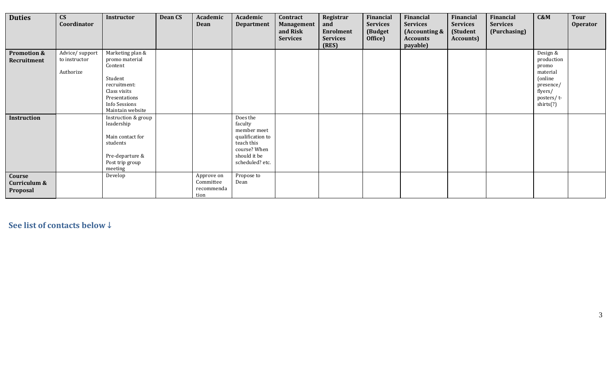| <b>Duties</b>              | $\mathbf{C}\mathbf{S}$<br>Coordinator | Instructor                         | <b>Dean CS</b> | Academic<br>Dean   | Academic<br><b>Department</b>   | Contract<br>Management      | Registrar<br>and                    | Financial<br><b>Services</b> | Financial<br><b>Services</b>     | Financial<br><b>Services</b> | Financial<br><b>Services</b> | C&M                    | Tour<br><b>Operator</b> |
|----------------------------|---------------------------------------|------------------------------------|----------------|--------------------|---------------------------------|-----------------------------|-------------------------------------|------------------------------|----------------------------------|------------------------------|------------------------------|------------------------|-------------------------|
|                            |                                       |                                    |                |                    |                                 | and Risk<br><b>Services</b> | <b>Enrolment</b><br><b>Services</b> | (Budget<br>Office)           | (Accounting &<br><b>Accounts</b> | (Student<br>Accounts)        | (Purchasing)                 |                        |                         |
|                            |                                       |                                    |                |                    |                                 |                             | (RES)                               |                              | payable)                         |                              |                              |                        |                         |
| Promotion &<br>Recruitment | Advice/support<br>to instructor       | Marketing plan &<br>promo material |                |                    |                                 |                             |                                     |                              |                                  |                              |                              | Design &<br>production |                         |
|                            | Authorize                             | Content                            |                |                    |                                 |                             |                                     |                              |                                  |                              |                              | promo<br>material      |                         |
|                            |                                       | Student                            |                |                    |                                 |                             |                                     |                              |                                  |                              |                              | (online)               |                         |
|                            |                                       | recruitment:                       |                |                    |                                 |                             |                                     |                              |                                  |                              |                              | presence/              |                         |
|                            |                                       | Class visits                       |                |                    |                                 |                             |                                     |                              |                                  |                              |                              | flyers/                |                         |
|                            |                                       | Presentations                      |                |                    |                                 |                             |                                     |                              |                                  |                              |                              | posters/t-             |                         |
|                            |                                       | Info Sessions                      |                |                    |                                 |                             |                                     |                              |                                  |                              |                              | shirts(?)              |                         |
|                            |                                       | Maintain website                   |                |                    |                                 |                             |                                     |                              |                                  |                              |                              |                        |                         |
| Instruction                |                                       | Instruction & group                |                |                    | Does the                        |                             |                                     |                              |                                  |                              |                              |                        |                         |
|                            |                                       | leadership                         |                |                    | faculty                         |                             |                                     |                              |                                  |                              |                              |                        |                         |
|                            |                                       | Main contact for                   |                |                    | member meet<br>qualification to |                             |                                     |                              |                                  |                              |                              |                        |                         |
|                            |                                       | students                           |                |                    | teach this                      |                             |                                     |                              |                                  |                              |                              |                        |                         |
|                            |                                       |                                    |                |                    | course? When                    |                             |                                     |                              |                                  |                              |                              |                        |                         |
|                            |                                       | Pre-departure &                    |                |                    | should it be                    |                             |                                     |                              |                                  |                              |                              |                        |                         |
|                            |                                       | Post trip group                    |                |                    | scheduled? etc.                 |                             |                                     |                              |                                  |                              |                              |                        |                         |
|                            |                                       | meeting                            |                |                    |                                 |                             |                                     |                              |                                  |                              |                              |                        |                         |
| Course                     |                                       | Develop                            |                | Approve on         | Propose to                      |                             |                                     |                              |                                  |                              |                              |                        |                         |
| Curriculum &               |                                       |                                    |                | Committee          | Dean                            |                             |                                     |                              |                                  |                              |                              |                        |                         |
| Proposal                   |                                       |                                    |                | recommenda<br>tion |                                 |                             |                                     |                              |                                  |                              |                              |                        |                         |

**See list of contacts below ↓**